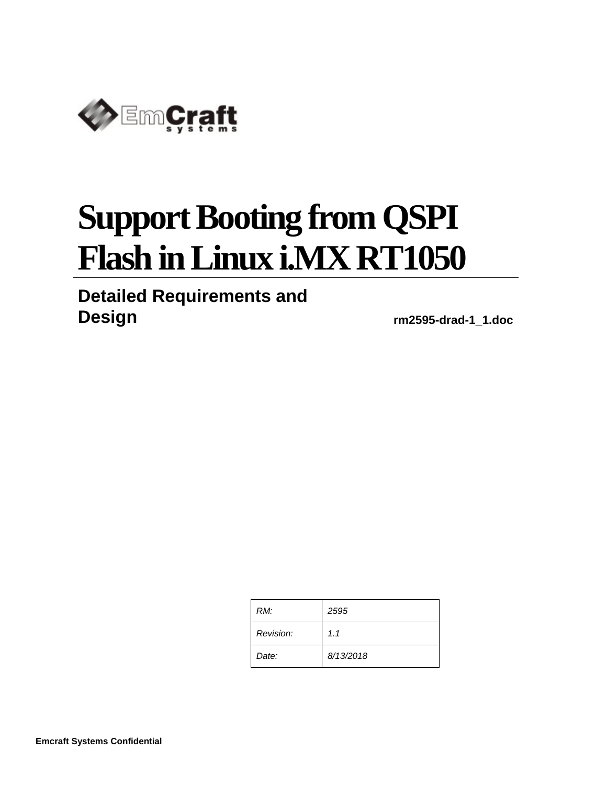

# **Support Booting from QSPI Flash in Linux i.MX RT1050**

# **Detailed Requirements and**

**Design rm2595-drad-1\_1.doc**

| RM:       | 2595      |
|-----------|-----------|
| Revision: | 1.1       |
| Date:     | 8/13/2018 |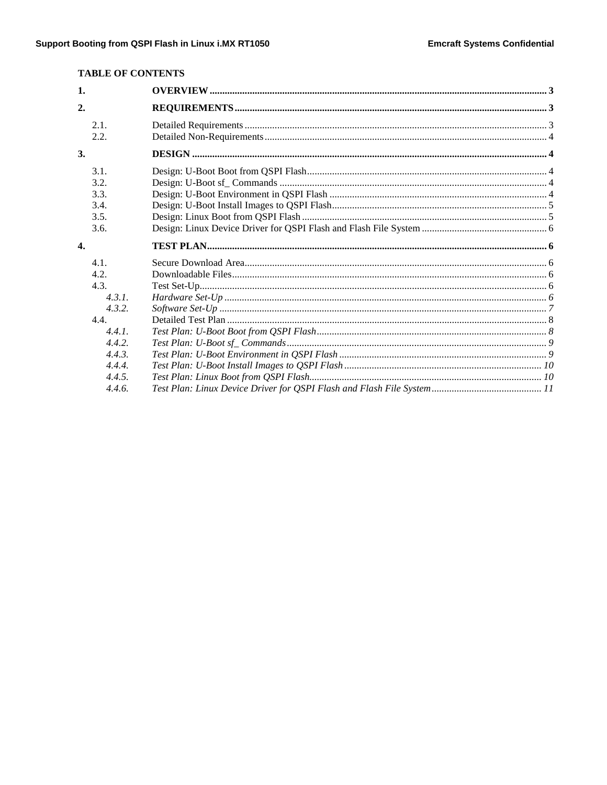# **TABLE OF CONTENTS**

| 1.               |  |
|------------------|--|
| 2.               |  |
| 2.1.             |  |
| 2.2.             |  |
| 3.               |  |
| 3.1.             |  |
| 3.2.             |  |
| 3.3.             |  |
| 3.4.             |  |
| 3.5.             |  |
| 3.6.             |  |
| $\overline{4}$ . |  |
| 4.1.             |  |
| 4.2.             |  |
| 4.3.             |  |
| 4.3.1.           |  |
| 4.3.2.           |  |
| 4.4.             |  |
| 4.4.1            |  |
| 4.4.2.           |  |
| 4.4.3.           |  |
| 4.4.4.           |  |
| 4.4.5.           |  |
| 4.4.6.           |  |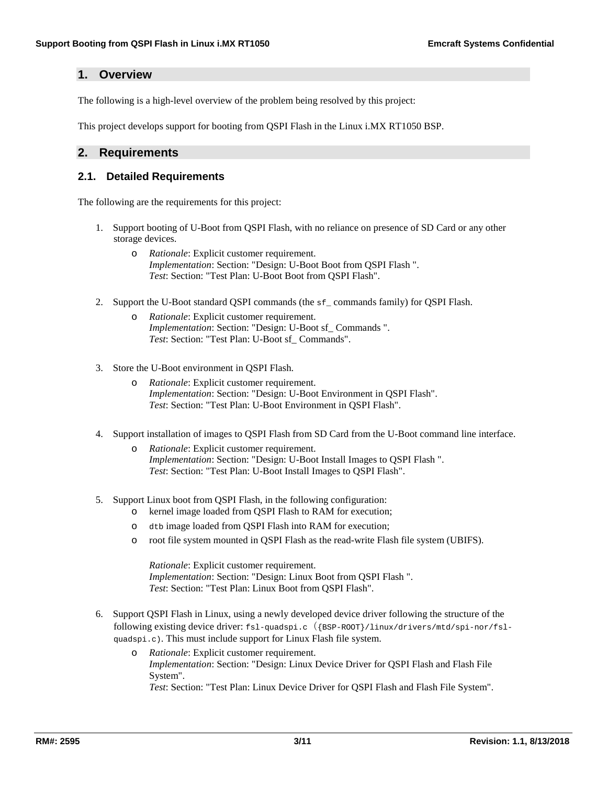# <span id="page-2-0"></span>**1. Overview**

The following is a high-level overview of the problem being resolved by this project:

This project develops support for booting from QSPI Flash in the Linux i.MX RT1050 BSP.

# <span id="page-2-1"></span>**2. Requirements**

## <span id="page-2-2"></span>**2.1. Detailed Requirements**

The following are the requirements for this project:

- 1. Support booting of U-Boot from QSPI Flash, with no reliance on presence of SD Card or any other storage devices.
	- o *Rationale*: Explicit customer requirement. *Implementation*[: Section:](#page-3-2) "Design: U-Boot Boot from QSPI Flash ". *Test*: [Section:](#page-7-1) "Test Plan: U-Boot Boot from QSPI Flash".
- 2. Support the U-Boot standard QSPI commands (the sf\_ commands family) for QSPI Flash.
	- o *Rationale*: Explicit customer requirement. *Implementation*: Section: "Design: U-Boot sf\_ [Commands](#page-3-3) ". *Test*: Section: "Test Plan: U-Boot sf\_ [Commands".](#page-8-0)
- 3. Store the U-Boot environment in QSPI Flash.
	- o *Rationale*: Explicit customer requirement. *Implementation*: Section: "Design: U-Boot [Environment](#page-3-4) in QSPI Flash". *Test*: Section: "Test Plan: U-Boot [Environment](#page-8-1) in QSPI Flash".
- 4. Support installation of images to QSPI Flash from SD Card from the U-Boot command line interface.
	- o *Rationale*: Explicit customer requirement. *Implementation*[: Section:](#page-4-0) "Design: U-Boot Install Images to QSPI Flash ". *Test*: [Section:](#page-9-0) "Test Plan: U-Boot Install Images to QSPI Flash".
- 5. Support Linux boot from QSPI Flash, in the following configuration:
	- o kernel image loaded from QSPI Flash to RAM for execution;
	- o dtb image loaded from QSPI Flash into RAM for execution;
	- o root file system mounted in QSPI Flash as the read-write Flash file system (UBIFS).

*Rationale*: Explicit customer requirement. *Implementation*[: Section:](#page-4-1) "Design: Linux Boot from QSPI Flash ". *Test*: [Section:](#page-9-1) "Test Plan: Linux Boot from QSPI Flash".

- 6. Support QSPI Flash in Linux, using a newly developed device driver following the structure of the following existing device driver: fsl-quadspi.c({BSP-ROOT}/linux/drivers/mtd/spi-nor/fslquadspi.c). This must include support for Linux Flash file system.
	- o *Rationale*: Explicit customer requirement. *Implementation*[: Section:](#page-5-0) "Design: Linux Device Driver for QSPI Flash and Flash File [System".](#page-5-0) *Test*: Section: "Test Plan: Linux Device Driver for QSPI Flash and Flash File [System".](#page-10-0)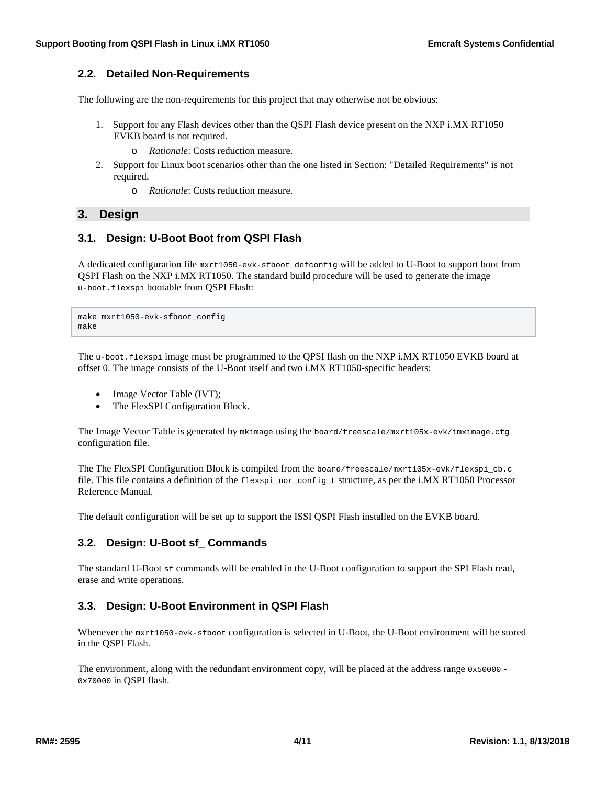# <span id="page-3-0"></span>**2.2. Detailed Non-Requirements**

The following are the non-requirements for this project that may otherwise not be obvious:

- 1. Support for any Flash devices other than the QSPI Flash device present on the NXP i.MX RT1050 EVKB board is not required.
	- o *Rationale*: Costs reduction measure.
- 2. Support for Linux boot scenarios other than the one listed in Section: "Detailed [Requirements"](http://ocean:8000/Projects/RM2595?action=print#requirements) is not required.
	- o *Rationale*: Costs reduction measure.

### <span id="page-3-1"></span>**3. Design**

## <span id="page-3-2"></span>**3.1. Design: U-Boot Boot from QSPI Flash**

A dedicated configuration file mxrt1050-evk-sfboot\_defconfig will be added to U-Boot to support boot from QSPI Flash on the NXP i.MX RT1050. The standard build procedure will be used to generate the image u-boot.flexspi bootable from QSPI Flash:

make mxrt1050-evk-sfboot\_config make

The u-boot.flexspi image must be programmed to the QPSI flash on the NXP i.MX RT1050 EVKB board at offset 0. The image consists of the U-Boot itself and two i.MX RT1050-specific headers:

- Image Vector Table (IVT);
- The FlexSPI Configuration Block.

The Image Vector Table is generated by mkimage using the board/freescale/mxrt105x-evk/imximage.cfg configuration file.

The The FlexSPI Configuration Block is compiled from the board/freescale/mxrt105x-evk/flexspi\_cb.c file. This file contains a definition of the flexspi\_nor\_config\_t structure, as per the i.MX RT1050 Processor Reference Manual.

The default configuration will be set up to support the ISSI QSPI Flash installed on the EVKB board.

# <span id="page-3-3"></span>**3.2. Design: U-Boot sf\_ Commands**

The standard U-Boot sf commands will be enabled in the U-Boot configuration to support the SPI Flash read, erase and write operations.

# <span id="page-3-4"></span>**3.3. Design: U-Boot Environment in QSPI Flash**

Whenever the mxrt1050-evk-sfboot configuration is selected in U-Boot, the U-Boot environment will be stored in the QSPI Flash.

The environment, along with the redundant environment copy, will be placed at the address range  $0 \times 50000 -$ 0x70000 in QSPI flash.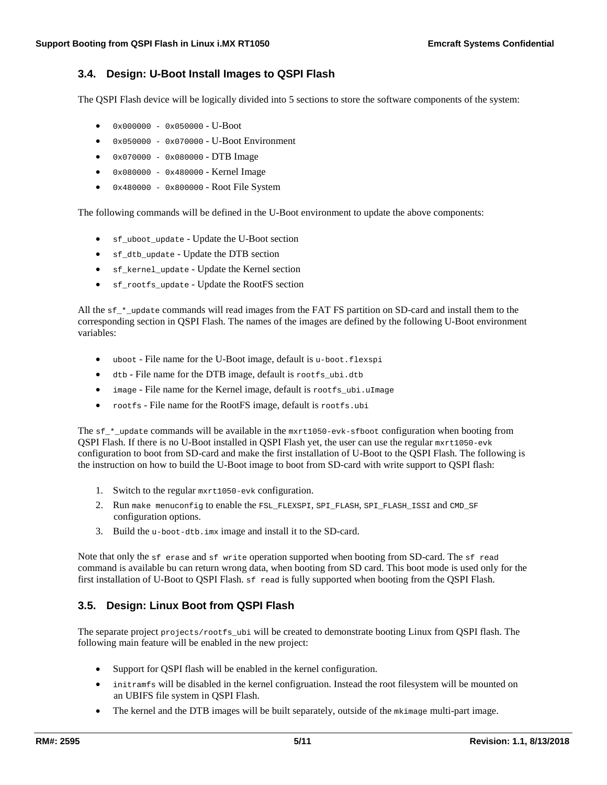# <span id="page-4-0"></span>**3.4. Design: U-Boot Install Images to QSPI Flash**

The QSPI Flash device will be logically divided into 5 sections to store the software components of the system:

- 0x000000 0x050000 U-Boot
- 0x050000 0x070000 U-Boot Environment
- 0x070000 0x080000 DTB Image
- 0x080000 0x480000 Kernel Image
- $\bullet$  0x480000 0x800000 Root File System

The following commands will be defined in the U-Boot environment to update the above components:

- sf\_uboot\_update Update the U-Boot section
- sf\_dtb\_update Update the DTB section
- sf\_kernel\_update Update the Kernel section
- sf\_rootfs\_update Update the RootFS section

All the sf<sub>\_\*\_update</sub> commands will read images from the FAT FS partition on SD-card and install them to the corresponding section in QSPI Flash. The names of the images are defined by the following U-Boot environment variables:

- uboot File name for the U-Boot image, default is u-boot.flexspi
- dtb File name for the DTB image, default is rootfs\_ubi.dtb
- image File name for the Kernel image, default is rootfs\_ubi.uImage
- rootfs File name for the RootFS image, default is rootfs.ubi

The sf\_\*\_update commands will be available in the mxrt1050-evk-sfboot configuration when booting from QSPI Flash. If there is no U-Boot installed in QSPI Flash yet, the user can use the regular mxrt1050-evk configuration to boot from SD-card and make the first installation of U-Boot to the QSPI Flash. The following is the instruction on how to build the U-Boot image to boot from SD-card with write support to QSPI flash:

- 1. Switch to the regular mxrt1050-evk configuration.
- 2. Run make menuconfig to enable the FSL\_FLEXSPI, SPI\_FLASH, SPI\_FLASH\_ISSI and CMD\_SF configuration options.
- 3. Build the u-boot-dtb.imx image and install it to the SD-card.

Note that only the sf erase and sf write operation supported when booting from SD-card. The sf read command is available bu can return wrong data, when booting from SD card. This boot mode is used only for the first installation of U-Boot to QSPI Flash. sf read is fully supported when booting from the QSPI Flash.

# <span id="page-4-1"></span>**3.5. Design: Linux Boot from QSPI Flash**

The separate project projects/rootfs\_ubi will be created to demonstrate booting Linux from QSPI flash. The following main feature will be enabled in the new project:

- Support for QSPI flash will be enabled in the kernel configuration.
- initramfs will be disabled in the kernel configruation. Instead the root filesystem will be mounted on an UBIFS file system in QSPI Flash.
- The kernel and the DTB images will be built separately, outside of the mkimage multi-part image.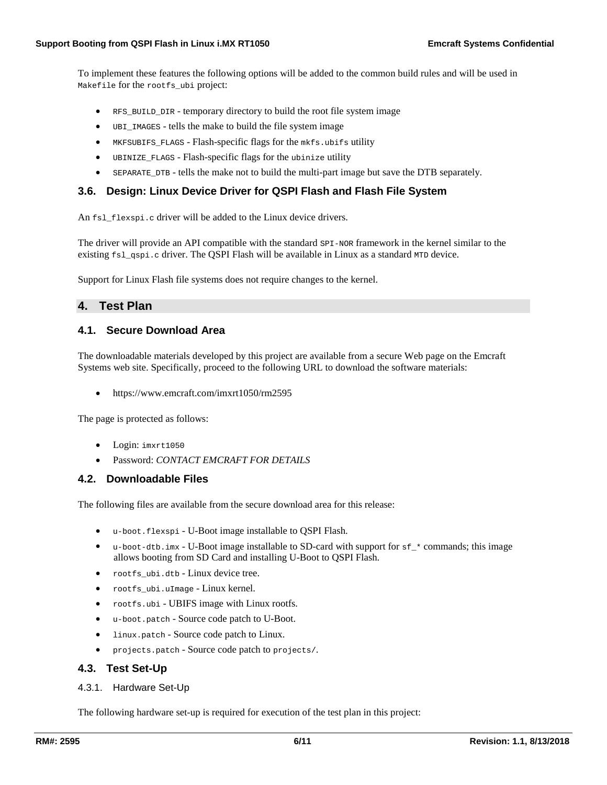To implement these features the following options will be added to the common build rules and will be used in Makefile for the rootfs\_ubi project:

- RFS\_BUILD\_DIR temporary directory to build the root file system image
- UBI\_IMAGES tells the make to build the file system image
- MKFSUBIFS\_FLAGS Flash-specific flags for the mkfs.ubifs utility
- UBINIZE\_FLAGS Flash-specific flags for the ubinize utility
- SEPARATE\_DTB tells the make not to build the multi-part image but save the DTB separately.

## <span id="page-5-0"></span>**3.6. Design: Linux Device Driver for QSPI Flash and Flash File System**

An fsl\_flexspi.c driver will be added to the Linux device drivers.

The driver will provide an API compatible with the standard  $SPI-NOR$  framework in the kernel similar to the existing  $fsl-gspi.c$  driver. The QSPI Flash will be available in Linux as a standard MTD device.

Support for Linux Flash file systems does not require changes to the kernel.

## <span id="page-5-1"></span>**4. Test Plan**

### <span id="page-5-2"></span>**4.1. Secure Download Area**

The downloadable materials developed by this project are available from a secure Web page on the Emcraft Systems web site. Specifically, proceed to the following URL to download the software materials:

• <https://www.emcraft.com/imxrt1050/rm2595>

The page is protected as follows:

- Login: imxrt1050
- Password: *CONTACT EMCRAFT FOR DETAILS*

### <span id="page-5-3"></span>**4.2. Downloadable Files**

The following files are available from the secure download area for this release:

- u-boot.flexspi U-Boot image installable to QSPI Flash.
- u-boot-dtb.imx U-Boot image installable to SD-card with support for  $f \circ f$   $\star$  commands; this image allows booting from SD Card and installing U-Boot to QSPI Flash.
- rootfs\_ubi.dtb Linux device tree.
- rootfs\_ubi.uImage Linux kernel.
- rootfs.ubi UBIFS image with Linux rootfs.
- u-boot.patch Source code patch to U-Boot.
- linux.patch Source code patch to Linux.
- projects.patch Source code patch to projects/.

### <span id="page-5-4"></span>**4.3. Test Set-Up**

<span id="page-5-5"></span>4.3.1. Hardware Set-Up

The following hardware set-up is required for execution of the test plan in this project: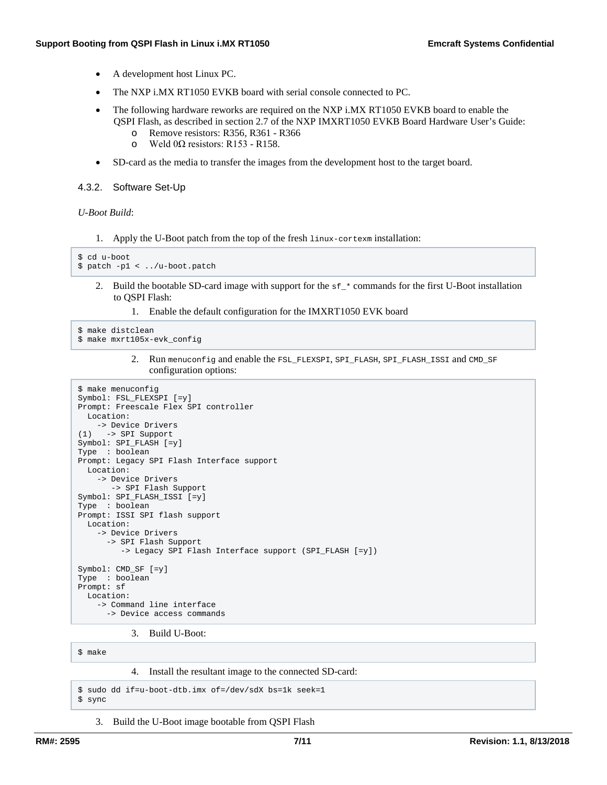- A development host Linux PC.
- The NXP i.MX RT1050 EVKB board with serial console connected to PC.
- The following hardware reworks are required on the NXP i.MX RT1050 EVKB board to enable the QSPI Flash, as described in section 2.7 of the NXP IMXRT1050 EVKB Board Hardware User's Guide:
	- o Remove resistors: R356, R361 R366<br>  $\Omega$  Weld 00 resistors: R153 R158
	- Weld 0Ω resistors: R153 R158.
- SD-card as the media to transfer the images from the development host to the target board.

#### <span id="page-6-0"></span>4.3.2. Software Set-Up

*U-Boot Build*:

1. Apply the U-Boot patch from the top of the fresh linux-cortexm installation:

```
$ cd u-boot
$ patch -p1 < ../u-boot.patch
```
- 2. Build the bootable SD-card image with support for the  $s f$ <sup>\*</sup> commands for the first U-Boot installation to QSPI Flash:
	- 1. Enable the default configuration for the IMXRT1050 EVK board

```
$ make distclean
$ make mxrt105x-evk_config
```
2. Run menuconfig and enable the FSL\_FLEXSPI, SPI\_FLASH, SPI\_FLASH\_ISSI and CMD\_SF configuration options:

```
$ make menuconfig
Symbol: FSL_FLEXSPI [=y]
Prompt: Freescale Flex SPI controller
  Location:
     -> Device Drivers
(1) -> SPI Support
Symbol: SPI_FLASH [=y]
Type : boolean
Prompt: Legacy SPI Flash Interface support
  Location:
     -> Device Drivers
       -> SPI Flash Support
Symbol: SPI_FLASH_ISSI [=y]
Type : boolean
Prompt: ISSI SPI flash support
  Location:
     -> Device Drivers
       -> SPI Flash Support
          -> Legacy SPI Flash Interface support (SPI_FLASH [=y])
Symbol: CMD_SF [=y]
Type : boolean
Prompt: sf
  Location:
     -> Command line interface
       -> Device access commands
```
3. Build U-Boot:

\$ make

4. Install the resultant image to the connected SD-card:

```
$ sudo dd if=u-boot-dtb.imx of=/dev/sdX bs=1k seek=1
$ sync
```
3. Build the U-Boot image bootable from QSPI Flash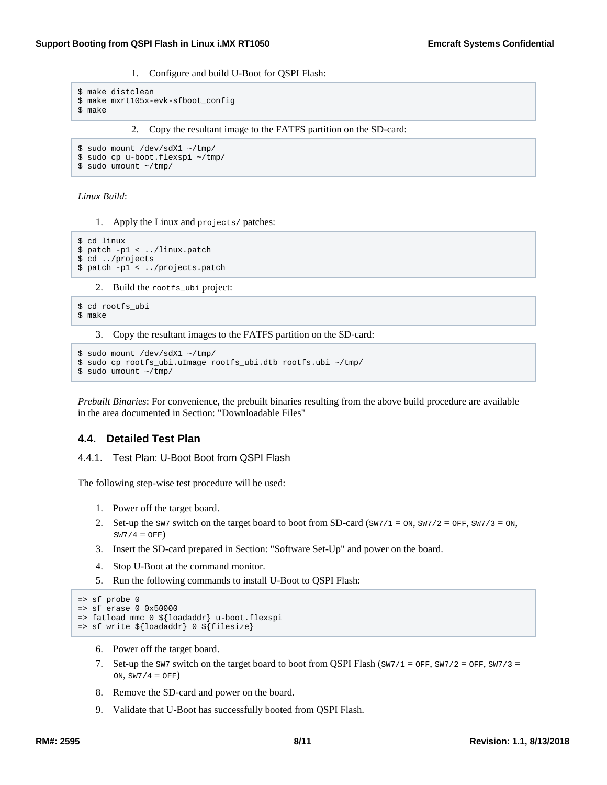1. Configure and build U-Boot for QSPI Flash:

```
$ make distclean
$ make mxrt105x-evk-sfboot_config
```
\$ make

2. Copy the resultant image to the FATFS partition on the SD-card:

```
$ sudo mount /dev/sdX1 ~/tmp/
```
\$ sudo cp u-boot.flexspi ~/tmp/

```
$ sudo umount ~/tmp/
```
*Linux Build*:

1. Apply the Linux and projects/ patches:

```
$ cd linux
$ patch -p1 < ../linux.patch
$ cd ../projects
$ patch -p1 < ../projects.patch
```
2. Build the rootfs\_ubi project:

```
$ cd rootfs_ubi
$ make
```
3. Copy the resultant images to the FATFS partition on the SD-card:

```
$ sudo mount /dev/sdX1 ~/tmp/
$ sudo cp rootfs_ubi.uImage rootfs_ubi.dtb rootfs.ubi ~/tmp/
$ sudo umount ~/tmp/
```
*Prebuilt Binaries*: For convenience, the prebuilt binaries resulting from the above build procedure are available in the area documented in Section: ["Downloadable](http://ocean:8000/Projects/RM2595?action=print#files) Files"

# <span id="page-7-0"></span>**4.4. Detailed Test Plan**

<span id="page-7-1"></span>4.4.1. Test Plan: U-Boot Boot from QSPI Flash

The following step-wise test procedure will be used:

- 1. Power off the target board.
- 2. Set-up the sw7 switch on the target board to boot from SD-card ( $\text{SW7/1} = \text{ON}, \text{SW7/2} = \text{OFF}, \text{SW7/3} = \text{ON},$  $SW7/4 = OFF)$
- 3. Insert the SD-card prepared in Section: ["Software](http://ocean:8000/Projects/RM2595?action=print#test_swsetup) Set-Up" and power on the board.
- 4. Stop U-Boot at the command monitor.
- 5. Run the following commands to install U-Boot to QSPI Flash:

```
=> sf probe 0
=> sf erase 0 0x50000
=> fatload mmc 0 ${loadaddr} u-boot.flexspi
=> sf write ${loadaddr} 0 ${filesize}
```
- 6. Power off the target board.
- 7. Set-up the sw7 switch on the target board to boot from QSPI Flash ( $\text{SW7/1} = \text{OFF}, \text{SW7/2} = \text{OFF}, \text{SW7/3} =$ ON,  $SW7/4 = OFF$ )
- 8. Remove the SD-card and power on the board.
- 9. Validate that U-Boot has successfully booted from QSPI Flash.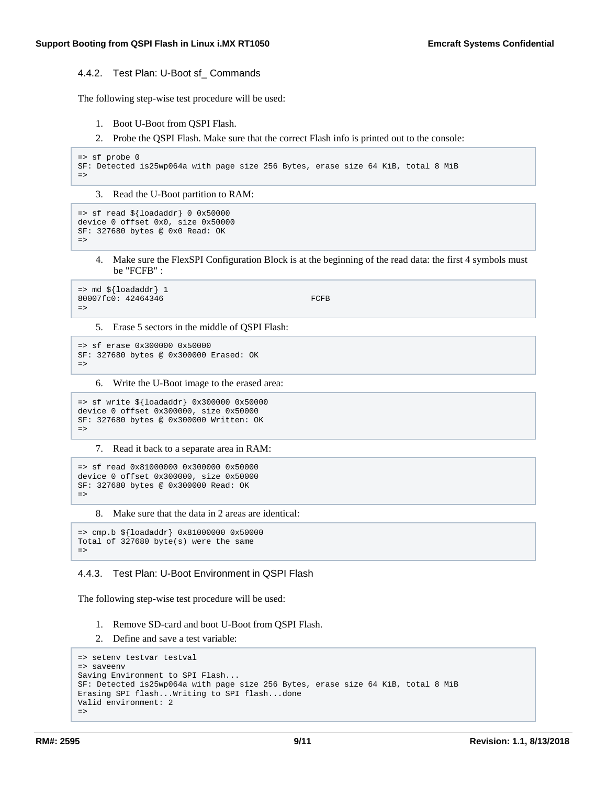#### <span id="page-8-0"></span>4.4.2. Test Plan: U-Boot sf\_ Commands

The following step-wise test procedure will be used:

- 1. Boot U-Boot from QSPI Flash.
- 2. Probe the QSPI Flash. Make sure that the correct Flash info is printed out to the console:

```
=> sf probe 0
SF: Detected is25wp064a with page size 256 Bytes, erase size 64 KiB, total 8 MiB
=>
```
3. Read the U-Boot partition to RAM:

```
=> sf read ${loadaddr} 0 0x50000
device 0 offset 0x0, size 0x50000
SF: 327680 bytes @ 0x0 Read: OK
=
```
4. Make sure the FlexSPI Configuration Block is at the beginning of the read data: the first 4 symbols must be "FCFB" :

```
\Rightarrow md \S{loadaddr} 1
80007fc0: 42464346 FCFB
=>
```
5. Erase 5 sectors in the middle of QSPI Flash:

```
=> sf erase 0x300000 0x50000
SF: 327680 bytes @ 0x300000 Erased: OK
=>
```
6. Write the U-Boot image to the erased area:

```
=> sf write ${loadaddr} 0x300000 0x50000
device 0 offset 0x300000, size 0x50000
SF: 327680 bytes @ 0x300000 Written: OK
\Rightarrow
```
7. Read it back to a separate area in RAM:

```
=> sf read 0x81000000 0x300000 0x50000
device 0 offset 0x300000, size 0x50000
SF: 327680 bytes @ 0x300000 Read: OK
=>
```
8. Make sure that the data in 2 areas are identical:

```
=> cmp.b ${loadaddr} 0x81000000 0x50000
Total of 327680 byte(s) were the same
=>
```
#### <span id="page-8-1"></span>4.4.3. Test Plan: U-Boot Environment in QSPI Flash

The following step-wise test procedure will be used:

- 1. Remove SD-card and boot U-Boot from QSPI Flash.
- 2. Define and save a test variable:

```
=> setenv testvar testval
=> saveenv
Saving Environment to SPI Flash...
SF: Detected is25wp064a with page size 256 Bytes, erase size 64 KiB, total 8 MiB
Erasing SPI flash...Writing to SPI flash...done
Valid environment: 2
=>
```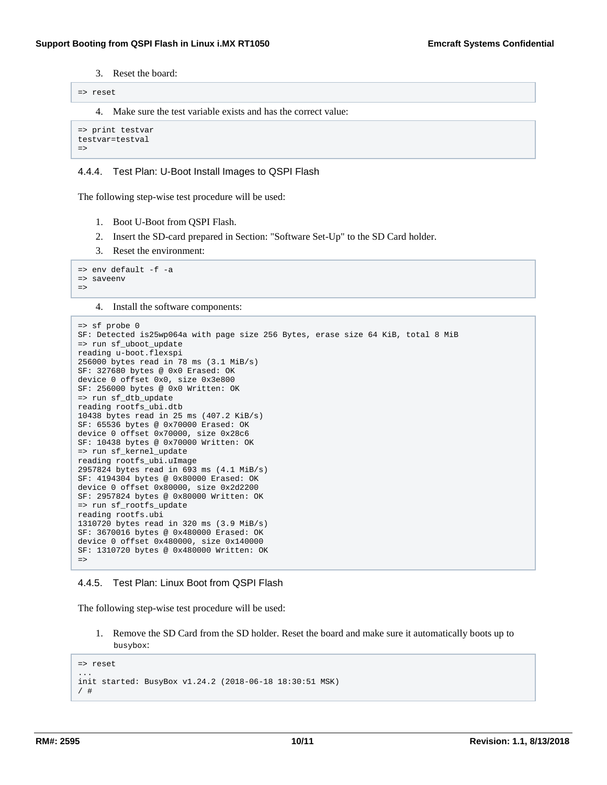3. Reset the board:

```
=> reset
```
4. Make sure the test variable exists and has the correct value:

```
=> print testvar
testvar=testval
=>
```
#### <span id="page-9-0"></span>4.4.4. Test Plan: U-Boot Install Images to QSPI Flash

The following step-wise test procedure will be used:

- 1. Boot U-Boot from QSPI Flash.
- 2. Insert the SD-card prepared in Section: ["Software](http://ocean:8000/Projects/RM2595?action=print#test_swsetup) Set-Up" to the SD Card holder.
- 3. Reset the environment:

```
=> env default -f -a
=> saveenv
=>
```
4. Install the software components:

```
=> sf probe 0
SF: Detected is25wp064a with page size 256 Bytes, erase size 64 KiB, total 8 MiB
=> run sf_uboot_update 
reading u-boot.flexspi 
256000 bytes read in 78 ms (3.1 MiB/s) 
SF: 327680 bytes @ 0x0 Erased: OK 
device 0 offset 0x0, size 0x3e800 
SF: 256000 bytes @ 0x0 Written: OK 
=> run sf_dtb_update 
reading rootfs_ubi.dtb 
10438 bytes read in 25 ms (407.2 KiB/s) 
SF: 65536 bytes @ 0x70000 Erased: OK 
device 0 offset 0x70000, size 0x28c6 
SF: 10438 bytes @ 0x70000 Written: OK 
=> run sf_kernel_update 
reading rootfs_ubi.uImage 
2957824 bytes read in 693 ms (4.1 MiB/s) 
SF: 4194304 bytes @ 0x80000 Erased: OK 
device 0 offset 0x80000, size 0x2d2200 
SF: 2957824 bytes @ 0x80000 Written: OK 
=> run sf_rootfs_update 
reading rootfs.ubi 
1310720 bytes read in 320 ms (3.9 MiB/s) 
SF: 3670016 bytes @ 0x480000 Erased: OK 
device 0 offset 0x480000, size 0x140000 
SF: 1310720 bytes @ 0x480000 Written: OK 
\Rightarrow
```
#### <span id="page-9-1"></span>4.4.5. Test Plan: Linux Boot from QSPI Flash

The following step-wise test procedure will be used:

1. Remove the SD Card from the SD holder. Reset the board and make sure it automatically boots up to busybox:

```
=> reset
...
init started: BusyBox v1.24.2 (2018-06-18 18:30:51 MSK)
/ #
```